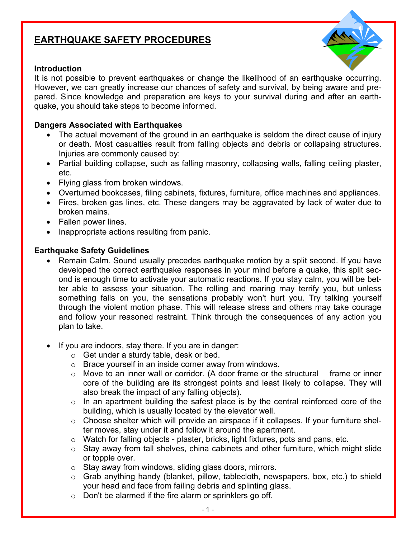# **EARTHQUAKE SAFETY PROCEDURES**

#### **Introduction**



It is not possible to prevent earthquakes or change the likelihood of an earthquake occurring. However, we can greatly increase our chances of safety and survival, by being aware and prepared. Since knowledge and preparation are keys to your survival during and after an earthquake, you should take steps to become informed.

#### **Dangers Associated with Earthquakes**

- The actual movement of the ground in an earthquake is seldom the direct cause of injury or death. Most casualties result from falling objects and debris or collapsing structures. Injuries are commonly caused by:
- Partial building collapse, such as falling masonry, collapsing walls, falling ceiling plaster, etc.
- Flying glass from broken windows.
- Overturned bookcases, filing cabinets, fixtures, furniture, office machines and appliances.
- Fires, broken gas lines, etc. These dangers may be aggravated by lack of water due to broken mains.
- Fallen power lines.
- Inappropriate actions resulting from panic.

### **Earthquake Safety Guidelines**

- Remain Calm. Sound usually precedes earthquake motion by a split second. If you have developed the correct earthquake responses in your mind before a quake, this split second is enough time to activate your automatic reactions. If you stay calm, you will be better able to assess your situation. The rolling and roaring may terrify you, but unless something falls on you, the sensations probably won't hurt you. Try talking yourself through the violent motion phase. This will release stress and others may take courage and follow your reasoned restraint. Think through the consequences of any action you plan to take.
- If you are indoors, stay there. If you are in danger:
	- o Get under a sturdy table, desk or bed.
	- o Brace yourself in an inside corner away from windows.
	- o Move to an inner wall or corridor. (A door frame or the structural frame or inner core of the building are its strongest points and least likely to collapse. They will also break the impact of any falling objects).
	- o In an apartment building the safest place is by the central reinforced core of the building, which is usually located by the elevator well.
	- o Choose shelter which will provide an airspace if it collapses. If your furniture shelter moves, stay under it and follow it around the apartment.
	- $\circ$  Watch for falling objects plaster, bricks, light fixtures, pots and pans, etc.
	- o Stay away from tall shelves, china cabinets and other furniture, which might slide or topple over.
	- o Stay away from windows, sliding glass doors, mirrors.
	- o Grab anything handy (blanket, pillow, tablecloth, newspapers, box, etc.) to shield your head and face from failing debris and splinting glass.
	- o Don't be alarmed if the fire alarm or sprinklers go off.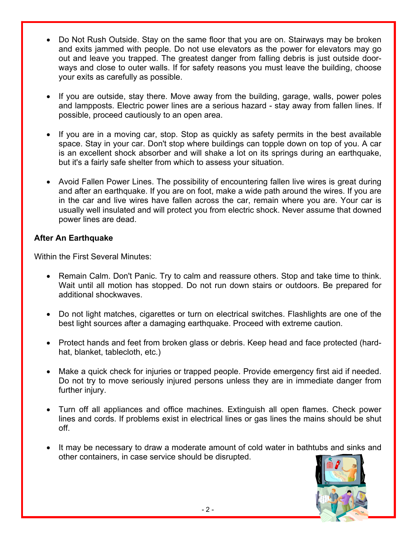- Do Not Rush Outside. Stay on the same floor that you are on. Stairways may be broken and exits jammed with people. Do not use elevators as the power for elevators may go out and leave you trapped. The greatest danger from falling debris is just outside doorways and close to outer walls. If for safety reasons you must leave the building, choose your exits as carefully as possible.
- If you are outside, stay there. Move away from the building, garage, walls, power poles and lampposts. Electric power lines are a serious hazard - stay away from fallen lines. If possible, proceed cautiously to an open area.
- If you are in a moving car, stop. Stop as quickly as safety permits in the best available space. Stay in your car. Don't stop where buildings can topple down on top of you. A car is an excellent shock absorber and will shake a lot on its springs during an earthquake, but it's a fairly safe shelter from which to assess your situation.
- Avoid Fallen Power Lines. The possibility of encountering fallen live wires is great during and after an earthquake. If you are on foot, make a wide path around the wires. If you are in the car and live wires have fallen across the car, remain where you are. Your car is usually well insulated and will protect you from electric shock. Never assume that downed power lines are dead.

## **After An Earthquake**

Within the First Several Minutes:

- Remain Calm. Don't Panic. Try to calm and reassure others. Stop and take time to think. Wait until all motion has stopped. Do not run down stairs or outdoors. Be prepared for additional shockwaves.
- Do not light matches, cigarettes or turn on electrical switches. Flashlights are one of the best light sources after a damaging earthquake. Proceed with extreme caution.
- Protect hands and feet from broken glass or debris. Keep head and face protected (hardhat, blanket, tablecloth, etc.)
- Make a quick check for injuries or trapped people. Provide emergency first aid if needed. Do not try to move seriously injured persons unless they are in immediate danger from further injury.
- Turn off all appliances and office machines. Extinguish all open flames. Check power lines and cords. If problems exist in electrical lines or gas lines the mains should be shut off.
- It may be necessary to draw a moderate amount of cold water in bathtubs and sinks and other containers, in case service should be disrupted.